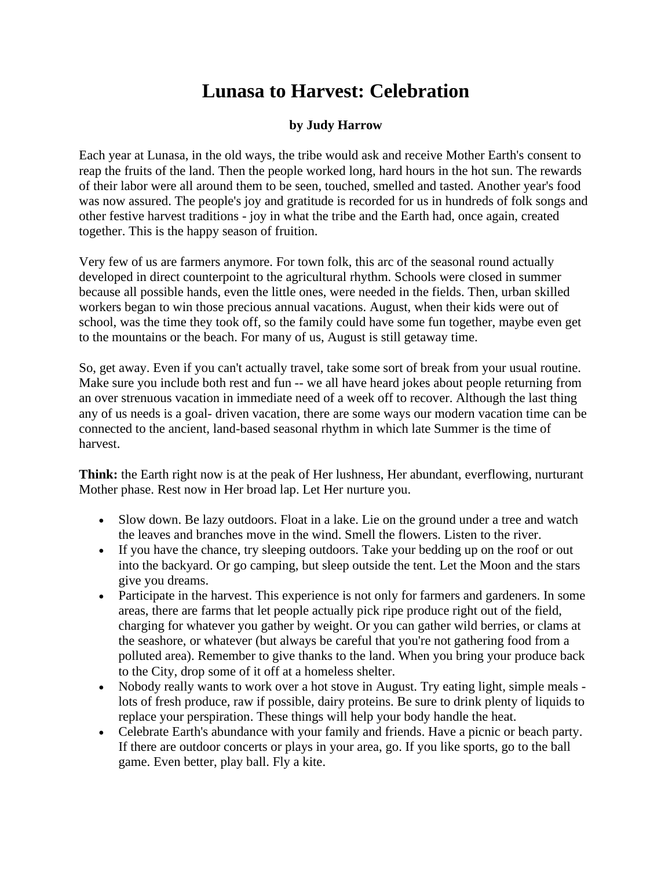## **Lunasa to Harvest: Celebration**

## **by Judy Harrow**

Each year at Lunasa, in the old ways, the tribe would ask and receive Mother Earth's consent to reap the fruits of the land. Then the people worked long, hard hours in the hot sun. The rewards of their labor were all around them to be seen, touched, smelled and tasted. Another year's food was now assured. The people's joy and gratitude is recorded for us in hundreds of folk songs and other festive harvest traditions - joy in what the tribe and the Earth had, once again, created together. This is the happy season of fruition.

Very few of us are farmers anymore. For town folk, this arc of the seasonal round actually developed in direct counterpoint to the agricultural rhythm. Schools were closed in summer because all possible hands, even the little ones, were needed in the fields. Then, urban skilled workers began to win those precious annual vacations. August, when their kids were out of school, was the time they took off, so the family could have some fun together, maybe even get to the mountains or the beach. For many of us, August is still getaway time.

So, get away. Even if you can't actually travel, take some sort of break from your usual routine. Make sure you include both rest and fun -- we all have heard jokes about people returning from an over strenuous vacation in immediate need of a week off to recover. Although the last thing any of us needs is a goal- driven vacation, there are some ways our modern vacation time can be connected to the ancient, land-based seasonal rhythm in which late Summer is the time of harvest.

**Think:** the Earth right now is at the peak of Her lushness, Her abundant, everflowing, nurturant Mother phase. Rest now in Her broad lap. Let Her nurture you.

- Slow down. Be lazy outdoors. Float in a lake. Lie on the ground under a tree and watch the leaves and branches move in the wind. Smell the flowers. Listen to the river.
- If you have the chance, try sleeping outdoors. Take your bedding up on the roof or out into the backyard. Or go camping, but sleep outside the tent. Let the Moon and the stars give you dreams.
- Participate in the harvest. This experience is not only for farmers and gardeners. In some areas, there are farms that let people actually pick ripe produce right out of the field, charging for whatever you gather by weight. Or you can gather wild berries, or clams at the seashore, or whatever (but always be careful that you're not gathering food from a polluted area). Remember to give thanks to the land. When you bring your produce back to the City, drop some of it off at a homeless shelter.
- Nobody really wants to work over a hot stove in August. Try eating light, simple meals lots of fresh produce, raw if possible, dairy proteins. Be sure to drink plenty of liquids to replace your perspiration. These things will help your body handle the heat.
- Celebrate Earth's abundance with your family and friends. Have a picnic or beach party. If there are outdoor concerts or plays in your area, go. If you like sports, go to the ball game. Even better, play ball. Fly a kite.